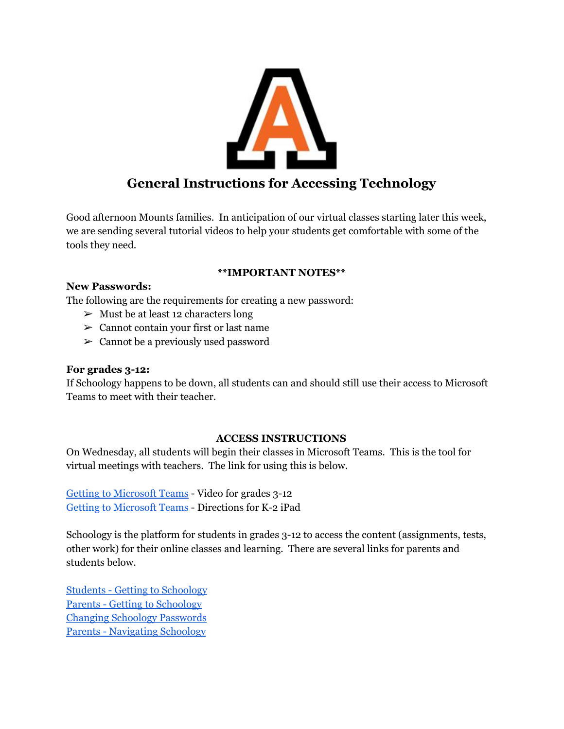

Good afternoon Mounts families. In anticipation of our virtual classes starting later this week, we are sending several tutorial videos to help your students get comfortable with some of the tools they need.

## **\*\*IMPORTANT NOTES\*\***

### **New Passwords:**

The following are the requirements for creating a new password:

- $>$  Must be at least 12 characters long
- $\geq$  Cannot contain your first or last name
- $\geq$  Cannot be a previously used password

#### **For grades 3-12:**

If Schoology happens to be down, all students can and should still use their access to Microsoft Teams to meet with their teacher.

#### **ACCESS INSTRUCTIONS**

On Wednesday, all students will begin their classes in Microsoft Teams. This is the tool for virtual meetings with teachers. The link for using this is below.

Getting to [Microsoft](https://drive.google.com/file/d/1yj1SVxJWzAOo8nUwoa3TP88dh97xI-Nr/view?usp=sharing) Teams - Video for grades 3-12 Getting to [Microsoft](https://docs.google.com/document/d/1D_kzJ58TjTBs2HwiTIMnnQPJKgA4dPVb8ALhOcboVVA/edit?usp=sharing) Teams - Directions for K-2 iPad

Schoology is the platform for students in grades 3-12 to access the content (assignments, tests, other work) for their online classes and learning. There are several links for parents and students below.

Students - Getting to [Schoology](https://drive.google.com/file/d/1fZ0cOCG3WYDu7-fzb9VmJ93stnKhXZV2/view?usp=sharing) Parents - Getting to [Schoology](https://drive.google.com/file/d/1yS93dnQfo1PxgWq_2HbVPb6uEuITJhoi/view?usp=sharing) Changing Schoology [Passwords](https://drive.google.com/file/d/1hjctqgZNMwdLNs2D2U9zjJ6V2gnYky1O/view?usp=sharing) Parents - [Navigating](https://drive.google.com/file/d/1cdBgMzS9XzbPQftK1ghDyUxG88crN_Hp/view?usp=sharing) Schoology